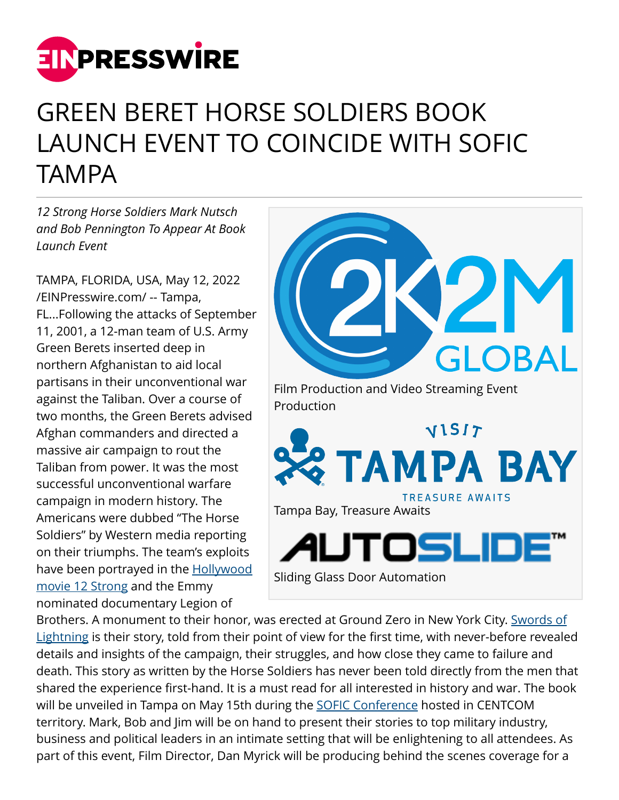

## GREEN BERET HORSE SOLDIERS BOOK LAUNCH EVENT TO COINCIDE WITH SOFIC TAMPA

*12 Strong Horse Soldiers Mark Nutsch and Bob Pennington To Appear At Book Launch Event*

TAMPA, FLORIDA, USA, May 12, 2022 [/EINPresswire.com/](http://www.einpresswire.com) -- Tampa, FL...Following the attacks of September 11, 2001, a 12-man team of U.S. Army Green Berets inserted deep in northern Afghanistan to aid local partisans in their unconventional war against the Taliban. Over a course of two months, the Green Berets advised Afghan commanders and directed a massive air campaign to rout the Taliban from power. It was the most successful unconventional warfare campaign in modern history. The Americans were dubbed "The Horse Soldiers" by Western media reporting on their triumphs. The team's exploits have been portrayed in the **Hollywood** [movie 12 Strong](https://www.imdb.com/title/tt1413492/) and the Emmy nominated documentary Legion of



Brothers. A monument to their honor, was erected at Ground Zero in New York City. [Swords of](https://www.simonandschuster.com/books/Swords-of-Lightning/Mark-Nutsch/9781637581537) [Lightning](https://www.simonandschuster.com/books/Swords-of-Lightning/Mark-Nutsch/9781637581537) is their story, told from their point of view for the first time, with never-before revealed details and insights of the campaign, their struggles, and how close they came to failure and death. This story as written by the Horse Soldiers has never been told directly from the men that shared the experience first-hand. It is a must read for all interested in history and war. The book will be unveiled in Tampa on May 15th during the [SOFIC Conference](http://sofic.org) hosted in CENTCOM territory. Mark, Bob and Jim will be on hand to present their stories to top military industry, business and political leaders in an intimate setting that will be enlightening to all attendees. As part of this event, Film Director, Dan Myrick will be producing behind the scenes coverage for a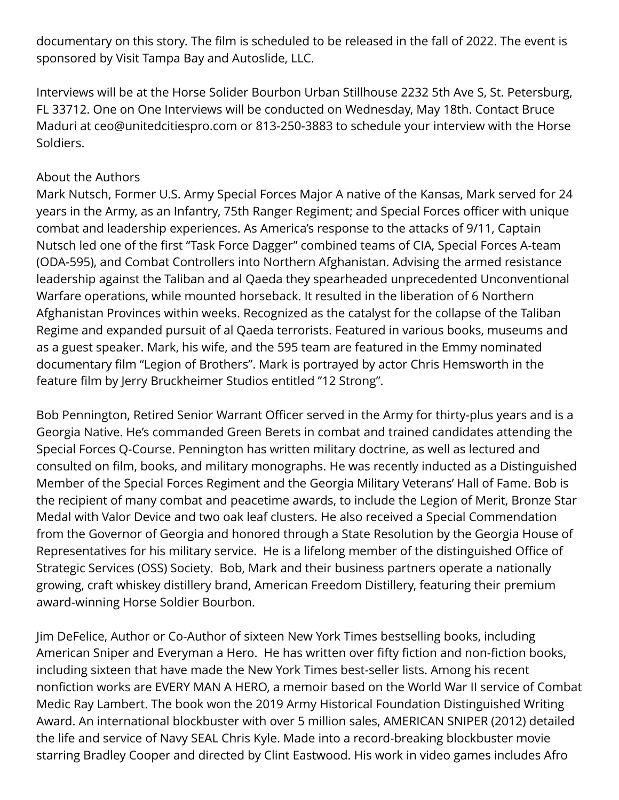documentary on this story. The film is scheduled to be released in the fall of 2022. The event is sponsored by Visit Tampa Bay and Autoslide, LLC.

Interviews will be at the Horse Solider Bourbon Urban Stillhouse 2232 5th Ave S, St. Petersburg, FL 33712. One on One Interviews will be conducted on Wednesday, May 18th. Contact Bruce Maduri at ceo@unitedcitiespro.com or 813-250-3883 to schedule your interview with the Horse Soldiers.

## About the Authors

Mark Nutsch, Former U.S. Army Special Forces Major A native of the Kansas, Mark served for 24 years in the Army, as an Infantry, 75th Ranger Regiment; and Special Forces officer with unique combat and leadership experiences. As America's response to the attacks of 9/11, Captain Nutsch led one of the first "Task Force Dagger" combined teams of CIA, Special Forces A-team (ODA-595), and Combat Controllers into Northern Afghanistan. Advising the armed resistance leadership against the Taliban and al Qaeda they spearheaded unprecedented Unconventional Warfare operations, while mounted horseback. It resulted in the liberation of 6 Northern Afghanistan Provinces within weeks. Recognized as the catalyst for the collapse of the Taliban Regime and expanded pursuit of al Qaeda terrorists. Featured in various books, museums and as a guest speaker. Mark, his wife, and the 595 team are featured in the Emmy nominated documentary film "Legion of Brothers". Mark is portrayed by actor Chris Hemsworth in the feature film by Jerry Bruckheimer Studios entitled "12 Strong".

Bob Pennington, Retired Senior Warrant Officer served in the Army for thirty-plus years and is a Georgia Native. He's commanded Green Berets in combat and trained candidates attending the Special Forces Q-Course. Pennington has written military doctrine, as well as lectured and consulted on film, books, and military monographs. He was recently inducted as a Distinguished Member of the Special Forces Regiment and the Georgia Military Veterans' Hall of Fame. Bob is the recipient of many combat and peacetime awards, to include the Legion of Merit, Bronze Star Medal with Valor Device and two oak leaf clusters. He also received a Special Commendation from the Governor of Georgia and honored through a State Resolution by the Georgia House of Representatives for his military service. He is a lifelong member of the distinguished Office of Strategic Services (OSS) Society. Bob, Mark and their business partners operate a nationally growing, craft whiskey distillery brand, American Freedom Distillery, featuring their premium award-winning Horse Soldier Bourbon.

Jim DeFelice, Author or Co-Author of sixteen New York Times bestselling books, including American Sniper and Everyman a Hero. He has written over fifty fiction and non-fiction books, including sixteen that have made the New York Times best-seller lists. Among his recent nonfiction works are EVERY MAN A HERO, a memoir based on the World War II service of Combat Medic Ray Lambert. The book won the 2019 Army Historical Foundation Distinguished Writing Award. An international blockbuster with over 5 million sales, AMERICAN SNIPER (2012) detailed the life and service of Navy SEAL Chris Kyle. Made into a record-breaking blockbuster movie starring Bradley Cooper and directed by Clint Eastwood. His work in video games includes Afro